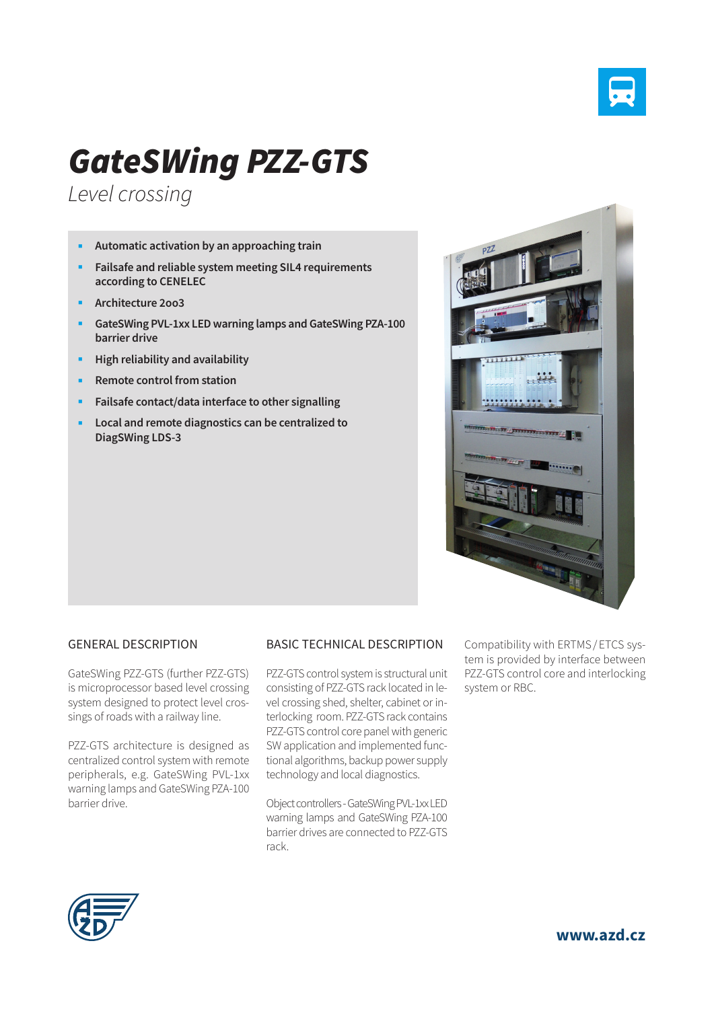

# *GateSWing PZZ-GTS*

*Level crossing*

- **Automatic activation by an approaching train**
- **Failsafe and reliable system meeting SIL4 requirements according to CENELEC**
- **Architecture 2oo3**
- **GateSWing PVL-1xx LED warning lamps and GateSWing PZA-100 barrier drive**
- **High reliability and availability**
- **Remote control from station**
- **Failsafe contact/data interface to other signalling**
- **Local and remote diagnostics can be centralized to DiagSWing LDS-3**



#### GENERAL DESCRIPTION

GateSWing PZZ-GTS (further PZZ-GTS) is microprocessor based level crossing system designed to protect level crossings of roads with a railway line.

PZZ-GTS architecture is designed as centralized control system with remote peripherals, e.g. GateSWing PVL-1xx warning lamps and GateSWing PZA-100 barrier drive.

## BASIC TECHNICAL DESCRIPTION

PZZ-GTS control system is structural unit consisting of PZZ-GTS rack located in level crossing shed, shelter, cabinet or interlocking room. PZZ-GTS rack contains PZZ-GTS control core panel with generic SW application and implemented functional algorithms, backup power supply technology and local diagnostics.

Object controllers - GateSWing PVL-1xx LED warning lamps and GateSWing PZA-100 barrier drives are connected to PZZ-GTS rack.

Compatibility with ERTMS/ ETCS system is provided by interface between PZZ-GTS control core and interlocking system or RBC.